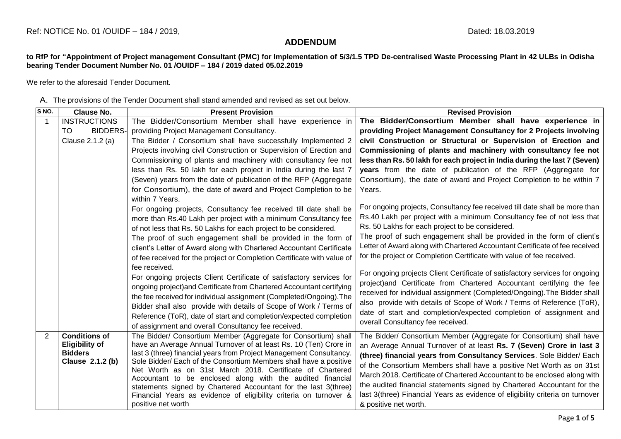## **ADDENDUM**

**to RfP for "Appointment of Project management Consultant (PMC) for Implementation of 5/3/1.5 TPD De-centralised Waste Processing Plant in 42 ULBs in Odisha bearing Tender Document Number No. 01 /OUIDF – 184 / 2019 dated 05.02.2019**

We refer to the aforesaid Tender Document.

A. The provisions of the Tender Document shall stand amended and revised as set out below.

| S NO. | <b>Clause No.</b>                                                                   | <b>Present Provision</b>                                                                                                                                                                                                                                                                                                                                                                                                                                                                                                                                                 | <b>Revised Provision</b>                                                                                                                                                                                                                                                                                                                                                                                                                                                                                                                                      |
|-------|-------------------------------------------------------------------------------------|--------------------------------------------------------------------------------------------------------------------------------------------------------------------------------------------------------------------------------------------------------------------------------------------------------------------------------------------------------------------------------------------------------------------------------------------------------------------------------------------------------------------------------------------------------------------------|---------------------------------------------------------------------------------------------------------------------------------------------------------------------------------------------------------------------------------------------------------------------------------------------------------------------------------------------------------------------------------------------------------------------------------------------------------------------------------------------------------------------------------------------------------------|
|       | <b>INSTRUCTIONS</b>                                                                 | The Bidder/Consortium Member shall have experience in                                                                                                                                                                                                                                                                                                                                                                                                                                                                                                                    | The Bidder/Consortium Member shall have experience in                                                                                                                                                                                                                                                                                                                                                                                                                                                                                                         |
|       | <b>BIDDERS-</b><br>TO.                                                              | providing Project Management Consultancy.                                                                                                                                                                                                                                                                                                                                                                                                                                                                                                                                | providing Project Management Consultancy for 2 Projects involving                                                                                                                                                                                                                                                                                                                                                                                                                                                                                             |
|       | Clause 2.1.2 (a)                                                                    | The Bidder / Consortium shall have successfully Implemented 2                                                                                                                                                                                                                                                                                                                                                                                                                                                                                                            | civil Construction or Structural or Supervision of Erection and                                                                                                                                                                                                                                                                                                                                                                                                                                                                                               |
|       |                                                                                     | Projects involving civil Construction or Supervision of Erection and                                                                                                                                                                                                                                                                                                                                                                                                                                                                                                     | Commissioning of plants and machinery with consultancy fee not                                                                                                                                                                                                                                                                                                                                                                                                                                                                                                |
|       |                                                                                     | Commissioning of plants and machinery with consultancy fee not                                                                                                                                                                                                                                                                                                                                                                                                                                                                                                           | less than Rs. 50 lakh for each project in India during the last 7 (Seven)                                                                                                                                                                                                                                                                                                                                                                                                                                                                                     |
|       |                                                                                     | less than Rs. 50 lakh for each project in India during the last 7                                                                                                                                                                                                                                                                                                                                                                                                                                                                                                        | years from the date of publication of the RFP (Aggregate for                                                                                                                                                                                                                                                                                                                                                                                                                                                                                                  |
|       |                                                                                     | (Seven) years from the date of publication of the RFP (Aggregate                                                                                                                                                                                                                                                                                                                                                                                                                                                                                                         | Consortium), the date of award and Project Completion to be within 7                                                                                                                                                                                                                                                                                                                                                                                                                                                                                          |
|       |                                                                                     | for Consortium), the date of award and Project Completion to be<br>within 7 Years.                                                                                                                                                                                                                                                                                                                                                                                                                                                                                       | Years.                                                                                                                                                                                                                                                                                                                                                                                                                                                                                                                                                        |
|       |                                                                                     | For ongoing projects, Consultancy fee received till date shall be<br>more than Rs.40 Lakh per project with a minimum Consultancy fee                                                                                                                                                                                                                                                                                                                                                                                                                                     | For ongoing projects, Consultancy fee received till date shall be more than<br>Rs.40 Lakh per project with a minimum Consultancy fee of not less that                                                                                                                                                                                                                                                                                                                                                                                                         |
|       |                                                                                     | of not less that Rs. 50 Lakhs for each project to be considered.                                                                                                                                                                                                                                                                                                                                                                                                                                                                                                         | Rs. 50 Lakhs for each project to be considered.                                                                                                                                                                                                                                                                                                                                                                                                                                                                                                               |
|       |                                                                                     | The proof of such engagement shall be provided in the form of                                                                                                                                                                                                                                                                                                                                                                                                                                                                                                            | The proof of such engagement shall be provided in the form of client's                                                                                                                                                                                                                                                                                                                                                                                                                                                                                        |
|       |                                                                                     | client's Letter of Award along with Chartered Accountant Certificate                                                                                                                                                                                                                                                                                                                                                                                                                                                                                                     | Letter of Award along with Chartered Accountant Certificate of fee received                                                                                                                                                                                                                                                                                                                                                                                                                                                                                   |
|       |                                                                                     | of fee received for the project or Completion Certificate with value of                                                                                                                                                                                                                                                                                                                                                                                                                                                                                                  | for the project or Completion Certificate with value of fee received.                                                                                                                                                                                                                                                                                                                                                                                                                                                                                         |
|       |                                                                                     | fee received.<br>For ongoing projects Client Certificate of satisfactory services for<br>ongoing project) and Certificate from Chartered Accountant certifying<br>the fee received for individual assignment (Completed/Ongoing). The<br>Bidder shall also provide with details of Scope of Work / Terms of<br>Reference (ToR), date of start and completion/expected completion<br>of assignment and overall Consultancy fee received.                                                                                                                                  | For ongoing projects Client Certificate of satisfactory services for ongoing<br>project) and Certificate from Chartered Accountant certifying the fee<br>received for individual assignment (Completed/Ongoing). The Bidder shall<br>also provide with details of Scope of Work / Terms of Reference (ToR),<br>date of start and completion/expected completion of assignment and<br>overall Consultancy fee received.                                                                                                                                        |
| 2     | <b>Conditions of</b><br><b>Eligibility of</b><br><b>Bidders</b><br>Clause 2.1.2 (b) | The Bidder/ Consortium Member (Aggregate for Consortium) shall<br>have an Average Annual Turnover of at least Rs. 10 (Ten) Crore in<br>last 3 (three) financial years from Project Management Consultancy.<br>Sole Bidder/ Each of the Consortium Members shall have a positive<br>Net Worth as on 31st March 2018. Certificate of Chartered<br>Accountant to be enclosed along with the audited financial<br>statements signed by Chartered Accountant for the last 3(three)<br>Financial Years as evidence of eligibility criteria on turnover &<br>positive net worth | The Bidder/ Consortium Member (Aggregate for Consortium) shall have<br>an Average Annual Turnover of at least Rs. 7 (Seven) Crore in last 3<br>(three) financial years from Consultancy Services. Sole Bidder/ Each<br>of the Consortium Members shall have a positive Net Worth as on 31st<br>March 2018. Certificate of Chartered Accountant to be enclosed along with<br>the audited financial statements signed by Chartered Accountant for the<br>last 3(three) Financial Years as evidence of eligibility criteria on turnover<br>& positive net worth. |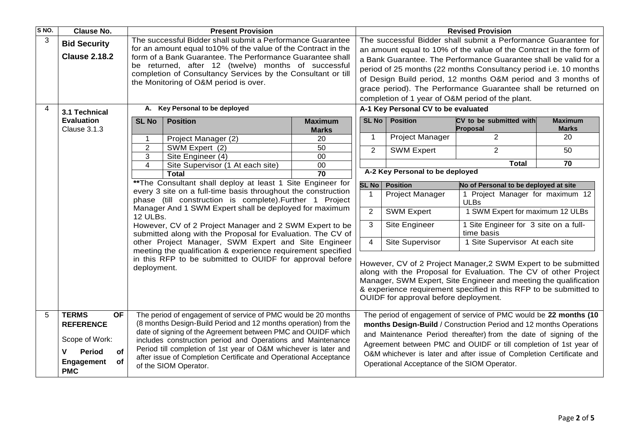| S NO. | <b>Clause No.</b>                                                  | <b>Present Provision</b>                                                                                                                                                                                                                                                                                         |                                                                  |                       | <b>Revised Provision</b>                                                                                                                                                                                                                                                                                            |                                                                                                                                         |                                                                    |                |  |  |
|-------|--------------------------------------------------------------------|------------------------------------------------------------------------------------------------------------------------------------------------------------------------------------------------------------------------------------------------------------------------------------------------------------------|------------------------------------------------------------------|-----------------------|---------------------------------------------------------------------------------------------------------------------------------------------------------------------------------------------------------------------------------------------------------------------------------------------------------------------|-----------------------------------------------------------------------------------------------------------------------------------------|--------------------------------------------------------------------|----------------|--|--|
| 3     | <b>Bid Security</b>                                                | The successful Bidder shall submit a Performance Guarantee<br>for an amount equal to 10% of the value of the Contract in the<br>form of a Bank Guarantee. The Performance Guarantee shall<br>be returned, after 12 (twelve) months of successful<br>completion of Consultancy Services by the Consultant or till |                                                                  |                       |                                                                                                                                                                                                                                                                                                                     | The successful Bidder shall submit a Performance Guarantee for                                                                          |                                                                    |                |  |  |
|       |                                                                    |                                                                                                                                                                                                                                                                                                                  |                                                                  |                       |                                                                                                                                                                                                                                                                                                                     | an amount equal to 10% of the value of the Contract in the form of                                                                      |                                                                    |                |  |  |
|       | <b>Clause 2.18.2</b>                                               |                                                                                                                                                                                                                                                                                                                  |                                                                  |                       |                                                                                                                                                                                                                                                                                                                     | a Bank Guarantee. The Performance Guarantee shall be valid for a                                                                        |                                                                    |                |  |  |
|       |                                                                    |                                                                                                                                                                                                                                                                                                                  |                                                                  |                       |                                                                                                                                                                                                                                                                                                                     | period of 25 months (22 months Consultancy period i.e. 10 months                                                                        |                                                                    |                |  |  |
|       |                                                                    |                                                                                                                                                                                                                                                                                                                  | the Monitoring of O&M period is over.                            |                       | of Design Build period, 12 months O&M period and 3 months of                                                                                                                                                                                                                                                        |                                                                                                                                         |                                                                    |                |  |  |
|       |                                                                    |                                                                                                                                                                                                                                                                                                                  |                                                                  |                       | grace period). The Performance Guarantee shall be returned on                                                                                                                                                                                                                                                       |                                                                                                                                         |                                                                    |                |  |  |
|       |                                                                    |                                                                                                                                                                                                                                                                                                                  |                                                                  |                       |                                                                                                                                                                                                                                                                                                                     | completion of 1 year of O&M period of the plant.                                                                                        |                                                                    |                |  |  |
| 4     | 3.1 Technical                                                      |                                                                                                                                                                                                                                                                                                                  | A. Key Personal to be deployed                                   |                       |                                                                                                                                                                                                                                                                                                                     | A-1 Key Personal CV to be evaluated                                                                                                     |                                                                    |                |  |  |
|       | <b>Evaluation</b>                                                  | <b>SL No</b>                                                                                                                                                                                                                                                                                                     | <b>Position</b>                                                  | <b>Maximum</b>        | <b>SL No</b>                                                                                                                                                                                                                                                                                                        | <b>Position</b>                                                                                                                         | CV to be submitted with                                            | <b>Maximum</b> |  |  |
|       | <b>Clause 3.1.3</b>                                                |                                                                                                                                                                                                                                                                                                                  |                                                                  | <b>Marks</b>          |                                                                                                                                                                                                                                                                                                                     |                                                                                                                                         | Proposal                                                           | <b>Marks</b>   |  |  |
|       |                                                                    |                                                                                                                                                                                                                                                                                                                  | Project Manager (2)                                              | 20                    | $\mathbf{1}$                                                                                                                                                                                                                                                                                                        | <b>Project Manager</b>                                                                                                                  | $\overline{2}$                                                     | 20             |  |  |
|       |                                                                    | $\overline{2}$                                                                                                                                                                                                                                                                                                   | SWM Expert (2)                                                   | 50                    | $\overline{2}$                                                                                                                                                                                                                                                                                                      | <b>SWM Expert</b>                                                                                                                       | 2                                                                  | 50             |  |  |
|       |                                                                    | 3<br>4                                                                                                                                                                                                                                                                                                           | Site Engineer (4)<br>Site Supervisor (1 At each site)            | 00<br>$\overline{00}$ |                                                                                                                                                                                                                                                                                                                     |                                                                                                                                         | <b>Total</b>                                                       | 70             |  |  |
|       |                                                                    |                                                                                                                                                                                                                                                                                                                  | <b>Total</b>                                                     | $\overline{70}$       |                                                                                                                                                                                                                                                                                                                     | A-2 Key Personal to be deployed                                                                                                         |                                                                    |                |  |  |
|       |                                                                    | ** The Consultant shall deploy at least 1 Site Engineer for                                                                                                                                                                                                                                                      |                                                                  |                       |                                                                                                                                                                                                                                                                                                                     | <b>SL No   Position</b>                                                                                                                 | No of Personal to be deployed at site                              |                |  |  |
|       |                                                                    |                                                                                                                                                                                                                                                                                                                  | every 3 site on a full-time basis throughout the construction    |                       | $\overline{1}$                                                                                                                                                                                                                                                                                                      | Project Manager                                                                                                                         | 1 Project Manager for maximum 12                                   |                |  |  |
|       |                                                                    | phase (till construction is complete). Further 1 Project                                                                                                                                                                                                                                                         |                                                                  |                       |                                                                                                                                                                                                                                                                                                                     | <b>ULBs</b>                                                                                                                             |                                                                    |                |  |  |
|       | Manager And 1 SWM Expert shall be deployed for maximum<br>12 ULBs. |                                                                                                                                                                                                                                                                                                                  |                                                                  |                       | $\overline{2}$                                                                                                                                                                                                                                                                                                      | <b>SWM Expert</b>                                                                                                                       | 1 SWM Expert for maximum 12 ULBs                                   |                |  |  |
|       |                                                                    | However, CV of 2 Project Manager and 2 SWM Expert to be                                                                                                                                                                                                                                                          |                                                                  |                       |                                                                                                                                                                                                                                                                                                                     | Site Engineer                                                                                                                           | 1 Site Engineer for 3 site on a full-                              |                |  |  |
|       |                                                                    | submitted along with the Proposal for Evaluation. The CV of<br>other Project Manager, SWM Expert and Site Engineer                                                                                                                                                                                               |                                                                  |                       | time basis<br>Site Supervisor<br>1 Site Supervisor At each site<br>$\overline{4}$                                                                                                                                                                                                                                   |                                                                                                                                         |                                                                    |                |  |  |
|       |                                                                    |                                                                                                                                                                                                                                                                                                                  | meeting the qualification & experience requirement specified     |                       |                                                                                                                                                                                                                                                                                                                     |                                                                                                                                         |                                                                    |                |  |  |
|       |                                                                    | in this RFP to be submitted to OUIDF for approval before<br>deployment.                                                                                                                                                                                                                                          |                                                                  |                       | However, CV of 2 Project Manager, 2 SWM Expert to be submitted<br>along with the Proposal for Evaluation. The CV of other Project<br>Manager, SWM Expert, Site Engineer and meeting the qualification<br>& experience requirement specified in this RFP to be submitted to<br>OUIDF for approval before deployment. |                                                                                                                                         |                                                                    |                |  |  |
| 5     | <b>TERMS</b><br><b>OF</b>                                          |                                                                                                                                                                                                                                                                                                                  | The period of engagement of service of PMC would be 20 months    |                       | The period of engagement of service of PMC would be 22 months (10                                                                                                                                                                                                                                                   |                                                                                                                                         |                                                                    |                |  |  |
|       | <b>REFERENCE</b>                                                   |                                                                                                                                                                                                                                                                                                                  | (8 months Design-Build Period and 12 months operation) from the  |                       |                                                                                                                                                                                                                                                                                                                     |                                                                                                                                         | months Design-Build / Construction Period and 12 months Operations |                |  |  |
|       | Scope of Work:                                                     | date of signing of the Agreement between PMC and OUIDF which<br>includes construction period and Operations and Maintenance                                                                                                                                                                                      |                                                                  |                       |                                                                                                                                                                                                                                                                                                                     | and Maintenance Period thereafter) from the date of signing of the<br>Agreement between PMC and OUIDF or till completion of 1st year of |                                                                    |                |  |  |
|       | Period<br>v<br><b>of</b>                                           |                                                                                                                                                                                                                                                                                                                  | Period till completion of 1st year of O&M whichever is later and |                       | O&M whichever is later and after issue of Completion Certificate and                                                                                                                                                                                                                                                |                                                                                                                                         |                                                                    |                |  |  |
|       | of<br><b>Engagement</b><br><b>PMC</b>                              | after issue of Completion Certificate and Operational Acceptance<br>of the SIOM Operator.                                                                                                                                                                                                                        |                                                                  |                       |                                                                                                                                                                                                                                                                                                                     | Operational Acceptance of the SIOM Operator.                                                                                            |                                                                    |                |  |  |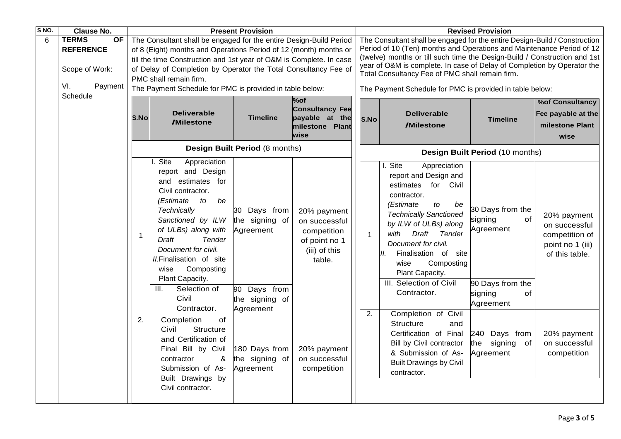| S NO. | <b>Clause No.</b>                                                                 |                                                                                                                                                                                                                                                                                                                                                                         |                                                                                                                                                                                                                                                                                                                                              | <b>Present Provision</b>                                                                   |                                                                                         |                                                                                                                                                                                                                                                                                                                                                                                                                            |                                                                                                                                                                                                                                                                                                                                              | <b>Revised Provision</b>                                                                         |                                                                                      |  |
|-------|-----------------------------------------------------------------------------------|-------------------------------------------------------------------------------------------------------------------------------------------------------------------------------------------------------------------------------------------------------------------------------------------------------------------------------------------------------------------------|----------------------------------------------------------------------------------------------------------------------------------------------------------------------------------------------------------------------------------------------------------------------------------------------------------------------------------------------|--------------------------------------------------------------------------------------------|-----------------------------------------------------------------------------------------|----------------------------------------------------------------------------------------------------------------------------------------------------------------------------------------------------------------------------------------------------------------------------------------------------------------------------------------------------------------------------------------------------------------------------|----------------------------------------------------------------------------------------------------------------------------------------------------------------------------------------------------------------------------------------------------------------------------------------------------------------------------------------------|--------------------------------------------------------------------------------------------------|--------------------------------------------------------------------------------------|--|
| 6     | <b>TERMS</b><br><b>OF</b><br><b>REFERENCE</b><br>Scope of Work:<br>VI.<br>Payment | The Consultant shall be engaged for the entire Design-Build Period<br>of 8 (Eight) months and Operations Period of 12 (month) months or<br>till the time Construction and 1st year of O&M is Complete. In case<br>of Delay of Completion by Operator the Total Consultancy Fee of<br>PMC shall remain firm.<br>The Payment Schedule for PMC is provided in table below: |                                                                                                                                                                                                                                                                                                                                              |                                                                                            |                                                                                         | The Consultant shall be engaged for the entire Design-Build / Construction<br>Period of 10 (Ten) months and Operations and Maintenance Period of 12<br>(twelve) months or till such time the Design-Build / Construction and 1st<br>year of O&M is complete. In case of Delay of Completion by Operator the<br>Total Consultancy Fee of PMC shall remain firm.<br>The Payment Schedule for PMC is provided in table below: |                                                                                                                                                                                                                                                                                                                                              |                                                                                                  |                                                                                      |  |
|       | Schedule                                                                          | <b>S.No</b>                                                                                                                                                                                                                                                                                                                                                             | <b>Deliverable</b><br><b>/Milestone</b>                                                                                                                                                                                                                                                                                                      | <b>Timeline</b>                                                                            | %of<br><b>Consultancy Fee</b><br>payable at the<br>milestone Plant<br>wise              | S.No                                                                                                                                                                                                                                                                                                                                                                                                                       | <b>Deliverable</b><br><b>/Milestone</b>                                                                                                                                                                                                                                                                                                      | <b>Timeline</b>                                                                                  | <b>%of Consultancy</b><br>Fee payable at the<br>milestone Plant<br>wise              |  |
|       |                                                                                   |                                                                                                                                                                                                                                                                                                                                                                         |                                                                                                                                                                                                                                                                                                                                              | Design Built Period (8 months)                                                             |                                                                                         |                                                                                                                                                                                                                                                                                                                                                                                                                            | Design Built Period (10 months)                                                                                                                                                                                                                                                                                                              |                                                                                                  |                                                                                      |  |
|       |                                                                                   | $\mathbf 1$                                                                                                                                                                                                                                                                                                                                                             | Site<br>Appreciation<br>report and Design<br>and estimates for<br>Civil contractor.<br>be<br>(Estimate<br>to<br>Technically<br>Sanctioned by ILW<br>of ULBs) along with<br><b>Draft</b><br>Tender<br>Document for civil.<br>II.Finalisation of site<br>Composting<br>wise<br>Plant Capacity.<br>Selection of<br>III.<br>Civil<br>Contractor. | 30 Days from<br>the signing of<br>Agreement<br>90 Days from<br>the signing of<br>Agreement | 20% payment<br>on successful<br>competition<br>of point no 1<br>(iii) of this<br>table. | $\mathbf{1}$                                                                                                                                                                                                                                                                                                                                                                                                               | I. Site<br>Appreciation<br>report and Design and<br>estimates for Civil<br>contractor.<br>to<br>(Estimate<br>be<br><b>Technically Sanctioned</b><br>by ILW of ULBs) along<br>with<br>Draft<br>Tender<br>Document for civil.<br>Finalisation of site<br>Ш.<br>Composting<br>wise<br>Plant Capacity.<br>III. Selection of Civil<br>Contractor. | 30 Days from the<br>signing<br>of<br>Agreement<br>90 Days from the<br>signing<br>of<br>Agreement | 20% payment<br>on successful<br>competition of<br>point no 1 (iii)<br>of this table. |  |
|       |                                                                                   | 2.                                                                                                                                                                                                                                                                                                                                                                      | Completion<br>of<br>Civil<br>Structure<br>and Certification of<br>Final Bill by Civil<br>&<br>contractor<br>Submission of As-<br>Built Drawings by<br>Civil contractor.                                                                                                                                                                      | 180 Days from<br>the signing of<br>Agreement                                               | 20% payment<br>on successful<br>competition                                             | 2.                                                                                                                                                                                                                                                                                                                                                                                                                         | Completion of Civil<br><b>Structure</b><br>and<br>Certification of Final<br>Bill by Civil contractor<br>& Submission of As-<br><b>Built Drawings by Civil</b><br>contractor.                                                                                                                                                                 | 240 Days from<br>the signing<br>of<br>Agreement                                                  | 20% payment<br>on successful<br>competition                                          |  |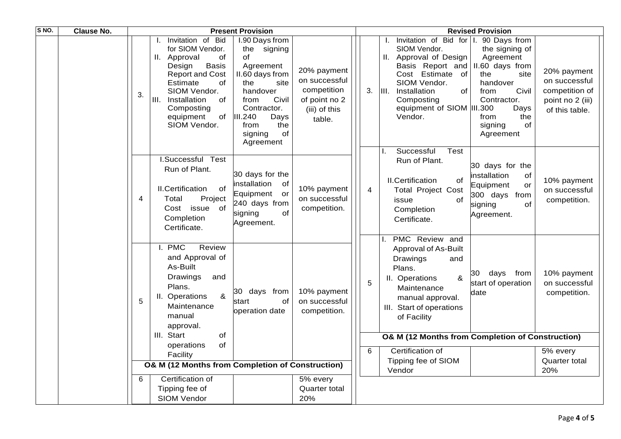| S NO. | <b>Clause No.</b> |    |                                                                                                                                                                                                                                  | <b>Present Provision</b>                                                                                                                                                                          |                                                                                         |    |                  |                                                                                                                                                                                                            | <b>Revised Provision</b>                                                                                                                                                       |                                                                                      |
|-------|-------------------|----|----------------------------------------------------------------------------------------------------------------------------------------------------------------------------------------------------------------------------------|---------------------------------------------------------------------------------------------------------------------------------------------------------------------------------------------------|-----------------------------------------------------------------------------------------|----|------------------|------------------------------------------------------------------------------------------------------------------------------------------------------------------------------------------------------------|--------------------------------------------------------------------------------------------------------------------------------------------------------------------------------|--------------------------------------------------------------------------------------|
|       |                   | 3. | Invitation of Bid<br>for SIOM Vendor.<br>II. Approval<br>0f<br>Design<br><b>Basis</b><br><b>Report and Cost</b><br>Estimate<br>οf<br>SIOM Vendor.<br>III.<br>Installation<br>of<br>Composting<br>equipment<br>of<br>SIOM Vendor. | I.90 Days from<br>the<br>signing<br>of<br>Agreement<br>II.60 days from<br>the<br>site<br>handover<br>Civil<br>from<br>Contractor.<br>III.240<br>Days<br>from<br>the<br>of<br>signing<br>Agreement | 20% payment<br>on successful<br>competition<br>of point no 2<br>(iii) of this<br>table. | 3. | $\mathbf{III}$ . | Invitation of Bid for I.<br>SIOM Vendor.<br>II. Approval of Design<br>Basis Report and<br>Cost Estimate<br>of<br>SIOM Vendor.<br>Installation<br>of<br>Composting<br>equipment of SIOM  III.300<br>Vendor. | 90 Days from<br>the signing of<br>Agreement<br>II.60 days from<br>the<br>site<br>handover<br>Civil<br>from<br>Contractor.<br>Days<br>from<br>the<br>signing<br>οf<br>Agreement | 20% payment<br>on successful<br>competition of<br>point no 2 (iii)<br>of this table. |
|       |                   | 4  | I.Successful Test<br>Run of Plant.<br><b>II.Certification</b><br>of<br>Total<br>Project<br>Cost issue of<br>Completion<br>Certificate.                                                                                           | 30 days for the<br>installation of<br>Equipment or<br>240 days from<br>of<br>signing<br>Agreement.                                                                                                | 10% payment<br>on successful<br>competition.                                            | 4  |                  | Successful<br><b>Test</b><br>Run of Plant.<br><b>II.Certification</b><br>οf<br><b>Total Project Cost</b><br>of<br>issue<br>Completion<br>Certificate.                                                      | 30 days for the<br>installation<br>of<br>Equipment<br>or<br>300 days from<br>of<br>signing<br>Agreement.                                                                       | 10% payment<br>on successful<br>competition.                                         |
|       |                   | 5  | <b>PMC</b><br>Review<br>Ι.<br>and Approval of<br>As-Built<br>Drawings<br>and<br>Plans.<br>$\boldsymbol{\alpha}$<br>II. Operations<br>Maintenance<br>manual<br>approval.                                                          | 30 days from<br>start<br>of<br>operation date                                                                                                                                                     | 10% payment<br>on successful<br>competition.                                            | 5  |                  | PMC Review and<br>Approval of As-Built<br>Drawings<br>and<br>Plans.<br>II. Operations<br>&<br>Maintenance<br>manual approval.<br>III. Start of operations<br>of Facility                                   | days from<br>30<br>start of operation<br>date                                                                                                                                  | 10% payment<br>on successful<br>competition.                                         |
|       |                   |    | III. Start<br>of<br>of<br>operations                                                                                                                                                                                             |                                                                                                                                                                                                   |                                                                                         |    |                  | O& M (12 Months from Completion of Construction)                                                                                                                                                           |                                                                                                                                                                                |                                                                                      |
|       |                   |    | Facility                                                                                                                                                                                                                         |                                                                                                                                                                                                   |                                                                                         | 6  |                  | Certification of                                                                                                                                                                                           |                                                                                                                                                                                | 5% every                                                                             |
|       |                   |    | O& M (12 Months from Completion of Construction)                                                                                                                                                                                 |                                                                                                                                                                                                   |                                                                                         |    |                  | Tipping fee of SIOM<br>Vendor                                                                                                                                                                              |                                                                                                                                                                                | Quarter total<br>20%                                                                 |
|       |                   | 6  | Certification of<br>Tipping fee of<br><b>SIOM Vendor</b>                                                                                                                                                                         |                                                                                                                                                                                                   | 5% every<br>Quarter total<br>20%                                                        |    |                  |                                                                                                                                                                                                            |                                                                                                                                                                                |                                                                                      |